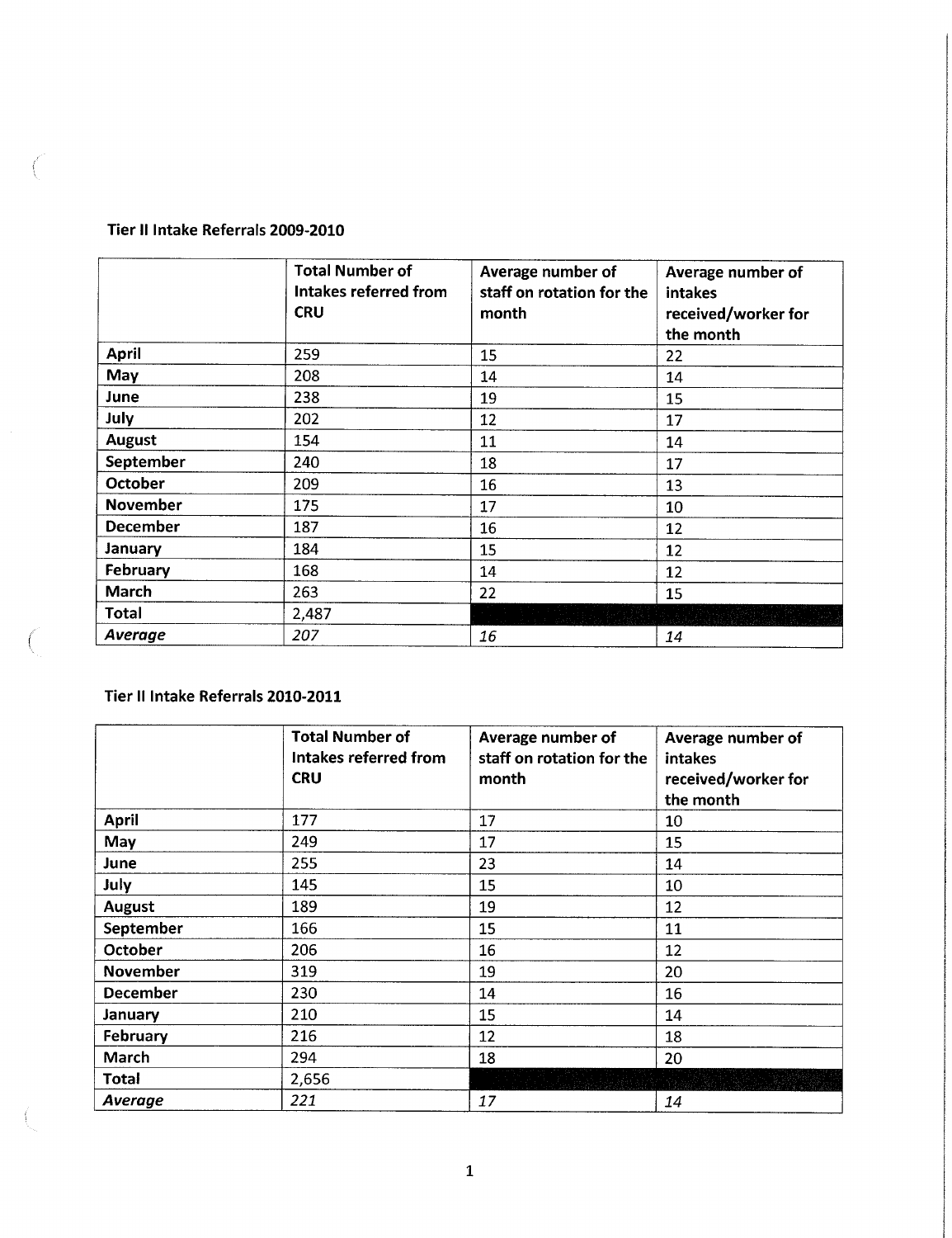## **Tier II Intake Referrals 2009-2010**

 $\langle$ 

 $\left($ 

|                 | <b>Total Number of</b><br>Intakes referred from<br><b>CRU</b> | Average number of<br>staff on rotation for the<br>month | Average number of<br>intakes<br>received/worker for<br>the month |
|-----------------|---------------------------------------------------------------|---------------------------------------------------------|------------------------------------------------------------------|
| April           | 259                                                           | 15                                                      | 22                                                               |
| May             | 208                                                           | 14                                                      | 14                                                               |
| June            | 238                                                           | 19                                                      | 15                                                               |
| July            | 202                                                           | 12                                                      | 17                                                               |
| <b>August</b>   | 154                                                           | 11                                                      | 14                                                               |
| September       | 240                                                           | 18                                                      | 17                                                               |
| October         | 209                                                           | 16                                                      | 13                                                               |
| <b>November</b> | 175                                                           | 17                                                      | 10                                                               |
| December        | 187                                                           | 16                                                      | 12                                                               |
| January         | 184                                                           | 15                                                      | 12                                                               |
| February        | 168                                                           | 14                                                      | 12                                                               |
| March           | 263                                                           | 22                                                      | 15                                                               |
| Total           | 2,487                                                         |                                                         |                                                                  |
| <b>Average</b>  | 207                                                           | 16                                                      | 14                                                               |

## **Tier II Intake Referrals 2010-2011**

|                 | <b>Total Number of</b><br>Intakes referred from<br><b>CRU</b> | Average number of<br>staff on rotation for the<br>month | Average number of<br>intakes<br>received/worker for<br>the month |
|-----------------|---------------------------------------------------------------|---------------------------------------------------------|------------------------------------------------------------------|
| <b>April</b>    | 177                                                           | 17                                                      | 10                                                               |
| May             | 249                                                           | 17                                                      | 15                                                               |
| June            | 255                                                           | 23                                                      | 14                                                               |
| July            | 145                                                           | 15                                                      | 10                                                               |
| August          | 189                                                           | 19                                                      | 12                                                               |
| September       | 166                                                           | 15                                                      | 11                                                               |
| October         | 206                                                           | 16                                                      | 12                                                               |
| November        | 319                                                           | 19                                                      | 20                                                               |
| <b>December</b> | 230                                                           | 14                                                      | 16                                                               |
| January         | 210                                                           | 15                                                      | 14                                                               |
| February        | 216                                                           | 12                                                      | 18                                                               |
| March           | 294                                                           | 18                                                      | 20                                                               |
| Total           | 2,656                                                         |                                                         |                                                                  |
| Average         | 221                                                           | 17                                                      | 14                                                               |

1